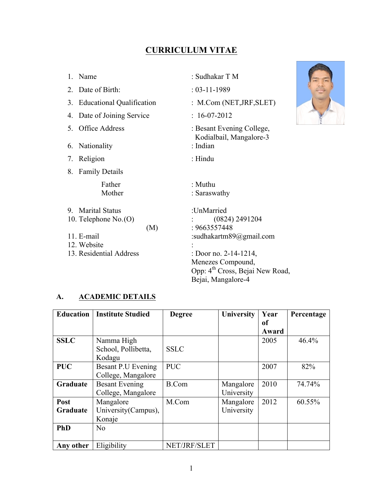# **CURRICULUM VITAE**

|    | 1. Name                      | : Sudhakar T M                                       |  |
|----|------------------------------|------------------------------------------------------|--|
|    | 2. Date of Birth:            | $: 03 - 11 - 1989$                                   |  |
|    | 3. Educational Qualification | : M.Com (NET, JRF, SLET)                             |  |
|    | 4. Date of Joining Service   | $: 16-07-2012$                                       |  |
| 5. | <b>Office Address</b>        | : Besant Evening College,<br>Kodialbail, Mangalore-3 |  |
| 6. | Nationality                  | : Indian                                             |  |
|    | 7. Religion                  | : Hindu                                              |  |
|    | 8. Family Details            |                                                      |  |
|    | Father                       | : Muthu                                              |  |
|    | Mother                       | : Saraswathy                                         |  |
|    | 9. Marital Status            | :UnMarried                                           |  |
|    | 10. Telephone $No.$ (O)      | $(0824)$ 2491204                                     |  |
|    | (M)                          | : 9663557448                                         |  |
|    | 11. E-mail                   | :sudhakartm $89$ @gmail.com                          |  |
|    | 12. Website                  |                                                      |  |
|    | 13. Residential Address      | : Door no. 2-14-1214,                                |  |
|    |                              | Menezes Compound,                                    |  |
|    |                              | Opp: 4 <sup>th</sup> Cross, Bejai New Road,          |  |
|    |                              | Bejai, Mangalore-4                                   |  |

## **A. ACADEMIC DETAILS**

| <b>Education</b> | <b>Institute Studied</b> | <b>Degree</b> | <b>University</b> | Year  | Percentage |
|------------------|--------------------------|---------------|-------------------|-------|------------|
|                  |                          |               |                   | оf    |            |
|                  |                          |               |                   | Award |            |
| <b>SSLC</b>      | Namma High               |               |                   | 2005  | 46.4%      |
|                  | School, Pollibetta,      | <b>SSLC</b>   |                   |       |            |
|                  | Kodagu                   |               |                   |       |            |
| <b>PUC</b>       | Besant P.U Evening       | <b>PUC</b>    |                   | 2007  | 82%        |
|                  | College, Mangalore       |               |                   |       |            |
| Graduate         | <b>Besant Evening</b>    | <b>B.Com</b>  | Mangalore         | 2010  | 74.74%     |
|                  | College, Mangalore       |               | University        |       |            |
| Post             | Mangalore                | M.Com         | Mangalore         | 2012  | 60.55%     |
| Graduate         | University (Campus),     |               | University        |       |            |
|                  | Konaje                   |               |                   |       |            |
| <b>PhD</b>       | No                       |               |                   |       |            |
|                  |                          |               |                   |       |            |
| Any other        | Eligibility              | NET/JRF/SLET  |                   |       |            |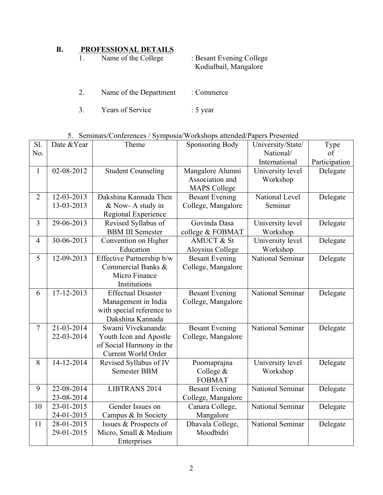# **B. PROFESSIONAL DETAILS**

| Name of the College | : Besant Evening College |  |
|---------------------|--------------------------|--|
|                     | Kodialbail, Mangalore    |  |

- 2. Name of the Department : Commerce
- 3. Years of Service : 5 year

# 5. Seminars/Conferences / Symposia/Workshops attended/Papers Presented

| S1.            | Date & Year | Theme                     | <b>Sponsoring Body</b>  | University/State/ | Type          |
|----------------|-------------|---------------------------|-------------------------|-------------------|---------------|
| No.            |             |                           |                         | National/         | of            |
|                |             |                           |                         | International     | Participation |
| $\mathbf{1}$   | 02-08-2012  | <b>Student Counseling</b> | Mangalore Alumni        | University level  | Delegate      |
|                |             |                           | Association and         | Workshop          |               |
|                |             |                           | <b>MAPS College</b>     |                   |               |
| $\overline{2}$ | 12-03-2013  | Dakshina Kannada Then     | <b>Besant Evening</b>   | National Level    | Delegate      |
|                | 13-03-2013  | & Now- A study in         | College, Mangalore      | Seminar           |               |
|                |             | Regional Experience       |                         |                   |               |
| $\overline{3}$ | 29-06-2013  | Revised Syllabus of       | Govinda Dasa            | University level  | Delegate      |
|                |             | <b>BBM III Semester</b>   | college & FOBMAT        | Workshop          |               |
| $\overline{4}$ | 30-06-2013  | Convention on Higher      | AMUCT & St              | University level  | Delegate      |
|                |             | Education                 | <b>Aloysius College</b> | Workshop          |               |
| $\overline{5}$ | 12-09-2013  | Effective Partnership b/w | <b>Besant Evening</b>   | National Seminar  | Delegate      |
|                |             | Commercial Banks &        | College, Mangalore      |                   |               |
|                |             | Micro Finance             |                         |                   |               |
|                |             | Institutions              |                         |                   |               |
| 6              | 17-12-2013  | <b>Effectual Disaster</b> | <b>Besant Evening</b>   | National Seminar  | Delegate      |
|                |             | Management in India       | College, Mangalore      |                   |               |
|                |             | with special reference to |                         |                   |               |
|                |             | Dakshina Kannada          |                         |                   |               |
| $\overline{7}$ | 21-03-2014  | Swami Vivekananda:        | <b>Besant Evening</b>   | National Seminar  | Delegate      |
|                | 22-03-2014  | Youth Icon and Apostle    | College, Mangalore      |                   |               |
|                |             | of Social Harmony in the  |                         |                   |               |
|                |             | Current World Order       |                         |                   |               |
| 8              | 14-12-2014  | Revised Syllabus of IV    | Poornaprajna            | University level  | Delegate      |
|                |             | <b>Semester BBM</b>       | College &               | Workshop          |               |
|                |             |                           | <b>FOBMAT</b>           |                   |               |
| 9              | 22-08-2014  | LIBTRANS 2014             | <b>Besant Evening</b>   | National Seminar  | Delegate      |
|                | 23-08-2014  |                           | College, Mangalore      |                   |               |
| 10             | 23-01-2015  | Gender Issues on          | Canara College,         | National Seminar  | Delegate      |
|                | 24-01-2015  | Campus & In Society       | Mangalore               |                   |               |
| 11             | 28-01-2015  | Issues & Prospects of     | Dhavala College,        | National Seminar  | Delegate      |
|                | 29-01-2015  | Micro, Small & Medium     | Moodbidri               |                   |               |
|                |             | Enterprises               |                         |                   |               |